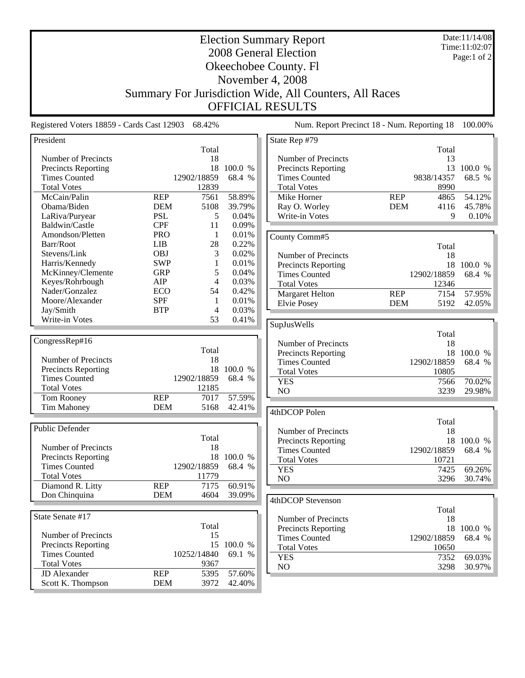Date:11/14/08 Time:11:02:07 Page:1 of 2

2008 General Election Okeechobee County. Fl November 4, 2008

Election Summary Report

Summary For Jurisdiction Wide, All Counters, All Races

OFFICIAL RESULTS

Registered Voters 18859 - Cards Cast 12903 68.42% Num. Report Precinct 18 - Num. Reporting 18 100.00%

| President                                |                          |                      |                  |
|------------------------------------------|--------------------------|----------------------|------------------|
|                                          |                          | Total                |                  |
| Number of Precincts                      | 18                       |                      |                  |
| <b>Precincts Reporting</b>               |                          | 100.0 %              |                  |
| <b>Times Counted</b>                     |                          | 68.4 %               |                  |
| <b>Total Votes</b>                       |                          | 12902/18859<br>12839 |                  |
| McCain/Palin                             | <b>REP</b>               | 7561                 | 58.89%           |
| Obama/Biden                              | <b>DEM</b>               | 5108                 | 39.79%           |
| LaRiva/Puryear                           | <b>PSL</b>               | 5                    | 0.04%            |
| Baldwin/Castle                           | <b>CPF</b>               | 11                   | 0.09%            |
| Amondson/Pletten                         | <b>PRO</b>               | 1                    | 0.01%            |
| Barr/Root                                | <b>LIB</b>               | 28                   | 0.22%            |
| Stevens/Link                             | <b>OBJ</b>               | 3                    | 0.02%            |
| Harris/Kennedy                           | <b>SWP</b>               | 1                    | 0.01%            |
| McKinney/Clemente                        | <b>GRP</b>               | 5                    | 0.04%            |
| Keyes/Rohrbough                          | AIP                      | 4                    | 0.03%            |
| Nader/Gonzalez                           | <b>ECO</b>               | 54                   | 0.42%            |
| Moore/Alexander                          | <b>SPF</b>               | 1                    | 0.01%            |
| Jay/Smith                                | <b>BTP</b>               | 4                    | 0.03%            |
| Write-in Votes                           |                          | 53                   | 0.41%            |
|                                          |                          |                      |                  |
|                                          |                          |                      |                  |
| CongressRep#16                           |                          |                      |                  |
|                                          |                          | Total                |                  |
| Number of Precincts                      |                          | 18                   |                  |
| <b>Precincts Reporting</b>               |                          | 18                   | 100.0 %          |
| <b>Times Counted</b>                     |                          | 12902/18859          | 68.4 %           |
| <b>Total Votes</b>                       |                          | 12185                |                  |
| Tom Rooney                               | <b>REP</b>               | 7017                 | 57.59%           |
| <b>Tim Mahoney</b>                       | <b>DEM</b>               | 5168                 | 42.41%           |
|                                          |                          |                      |                  |
| Public Defender                          |                          |                      |                  |
|                                          |                          | Total                |                  |
| Number of Precincts                      |                          | 18                   |                  |
| <b>Precincts Reporting</b>               |                          | 18                   | 100.0<br>$\%$    |
| <b>Times Counted</b>                     | 68.4 %<br>12902/18859    |                      |                  |
| <b>Total Votes</b>                       |                          | 11779                |                  |
| Diamond R. Litty                         | <b>REP</b>               | 7175                 | 60.91%           |
| Don Chinquina                            | <b>DEM</b>               | 4604                 | 39.09%           |
|                                          |                          |                      |                  |
| State Senate #17                         |                          |                      |                  |
|                                          |                          |                      |                  |
|                                          |                          |                      |                  |
|                                          |                          | Total                |                  |
| Number of Precincts                      |                          | 15                   |                  |
| <b>Precincts Reporting</b>               |                          | 15                   | 100.0<br>$\%$    |
| <b>Times Counted</b>                     |                          | 10252/14840          | 69.1<br>$\%$     |
| <b>Total Votes</b>                       |                          | 9367                 |                  |
| <b>JD</b> Alexander<br>Scott K. Thompson | <b>REP</b><br><b>DEM</b> | 5395<br>3972         | 57.60%<br>42.40% |

| State Rep #79              |            |                       |         |  |  |
|----------------------------|------------|-----------------------|---------|--|--|
|                            |            | Total                 |         |  |  |
| Number of Precincts        |            | 13                    |         |  |  |
| <b>Precincts Reporting</b> |            | 13<br>100.0 %         |         |  |  |
| <b>Times Counted</b>       |            | 9838/14357            | 68.5 %  |  |  |
| <b>Total Votes</b>         |            | 8990                  |         |  |  |
| Mike Horner                | <b>REP</b> | 4865                  | 54.12%  |  |  |
| Ray O. Worley              | <b>DEM</b> | 4116                  | 45.78%  |  |  |
| Write-in Votes             |            | 9                     |         |  |  |
|                            |            |                       |         |  |  |
| County Comm#5              |            |                       |         |  |  |
|                            |            | Total                 |         |  |  |
| Number of Precincts        |            | 18                    |         |  |  |
| <b>Precincts Reporting</b> |            | 18                    | 100.0 % |  |  |
| <b>Times Counted</b>       |            | 12902/18859<br>68.4 % |         |  |  |
| <b>Total Votes</b>         |            | 12346                 |         |  |  |
| <b>Margaret Helton</b>     | <b>REP</b> | 7154                  | 57.95%  |  |  |
| <b>Elvie Posey</b>         | <b>DEM</b> | 5192                  | 42.05%  |  |  |
|                            |            |                       |         |  |  |
| SupJusWells                |            |                       |         |  |  |
|                            |            | Total                 |         |  |  |
| Number of Precincts        |            | 18                    |         |  |  |
| <b>Precincts Reporting</b> |            | 18                    | 100.0 % |  |  |
| <b>Times Counted</b>       |            | 12902/18859<br>68.4 % |         |  |  |
| <b>Total Votes</b>         |            | 10805                 |         |  |  |
| <b>YES</b>                 |            | 70.02%<br>7566        |         |  |  |
| N <sub>O</sub>             |            | 3239<br>29.98%        |         |  |  |
|                            |            |                       |         |  |  |
| 4thDCOP Polen              |            |                       |         |  |  |
|                            |            | Total                 |         |  |  |
| Number of Precincts        |            | 18                    |         |  |  |
| <b>Precincts Reporting</b> |            | 18                    | 100.0 % |  |  |
| <b>Times Counted</b>       |            | 12902/18859           | 68.4 %  |  |  |
| <b>Total Votes</b>         |            | 10721                 |         |  |  |
| <b>YES</b>                 |            | 7425                  | 69.26%  |  |  |
| N <sub>O</sub>             |            | 3296                  | 30.74%  |  |  |
|                            |            |                       |         |  |  |
| 4thDCOP Stevenson          |            |                       |         |  |  |
|                            |            | Total                 |         |  |  |
| Number of Precincts        |            | 18                    |         |  |  |
| <b>Precincts Reporting</b> |            | 18                    | 100.0 % |  |  |
| <b>Times Counted</b>       |            | 12902/18859           | 68.4 %  |  |  |
| <b>Total Votes</b>         |            | 10650                 |         |  |  |
| <b>YES</b>                 |            | 7352                  | 69.03%  |  |  |

NO 3298 30.97%